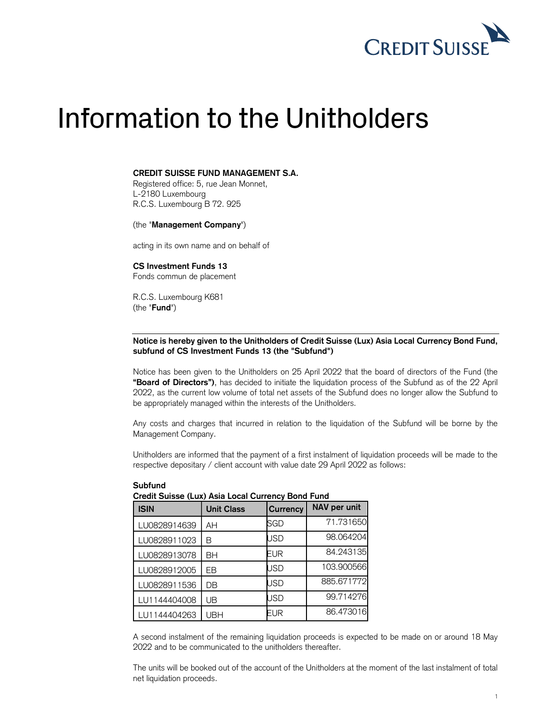

# Information to the Unitholders

## CREDIT SUISSE FUND MANAGEMENT S.A.

 Registered office: 5, rue Jean Monnet, R.C.S. Luxembourg B 72. 925 L-2180 Luxembourg

(the "Management Company")

acting in its own name and on behalf of

 CS Investment Funds 13 Fonds commun de placement

 R.C.S. Luxembourg K681 (the "Fund")

# Notice is hereby given to the Unitholders of Credit Suisse (Lux) Asia Local Currency Bond Fund, subfund of CS Investment Funds 13 (the "Subfund")

 Notice has been given to the Unitholders on 25 April 2022 that the board of directors of the Fund (the "Board of Directors"), has decided to initiate the liquidation process of the Subfund as of the 22 April 2022, as the current low volume of total net assets of the Subfund does no longer allow the Subfund to be appropriately managed within the interests of the Unitholders.

 Any costs and charges that incurred in relation to the liquidation of the Subfund will be borne by the Management Company.

 Unitholders are informed that the payment of a first instalment of liquidation proceeds will be made to the respective depositary / client account with value date 29 April 2022 as follows:

| Credit Suisse (Lux) Asia Local Currency Dong Fund |                   |                 |              |
|---------------------------------------------------|-------------------|-----------------|--------------|
| <b>ISIN</b>                                       | <b>Unit Class</b> | <b>Currency</b> | NAV per unit |
| LU0828914639                                      | AΗ                | SGD             | 71.731650    |
| LU0828911023                                      | В                 | USD             | 98.064204    |
| LU0828913078                                      | BH                | EUR             | 84.243135    |
| LU0828912005                                      | EB                | USD             | 103.900566   |
| LU0828911536                                      | DB                | USD             | 885.671772   |
| LU1144404008                                      | UB                | USD             | 99.714276    |
| LU1144404263                                      | UBH               | EUR             | 86.473016    |

### Subfund

#### $\cdots$   $\sim$   $\cdot$ Credit Suisse (Lux) Asia Local Currency Bond Fund

 A second instalment of the remaining liquidation proceeds is expected to be made on or around 18 May 2022 and to be communicated to the unitholders thereafter.

 The units will be booked out of the account of the Unitholders at the moment of the last instalment of total net liquidation proceeds.